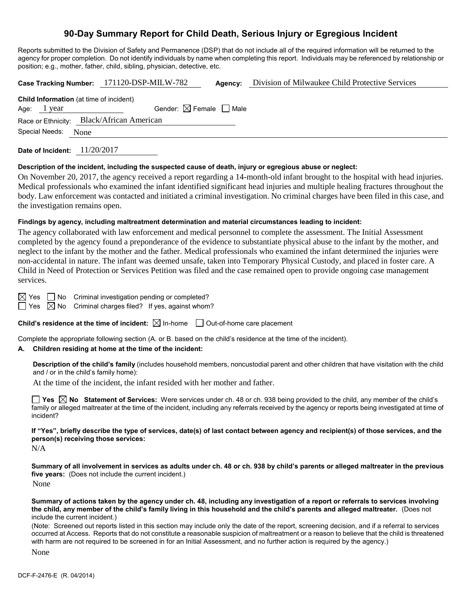# **90-Day Summary Report for Child Death, Serious Injury or Egregious Incident**

Reports submitted to the Division of Safety and Permanence (DSP) that do not include all of the required information will be returned to the agency for proper completion. Do not identify individuals by name when completing this report. Individuals may be referenced by relationship or position; e.g., mother, father, child, sibling, physician, detective, etc.

|                                                | Case Tracking Number: 171120-DSP-MILW-782 |                                        | Agency: | Division of Milwaukee Child Protective Services |
|------------------------------------------------|-------------------------------------------|----------------------------------------|---------|-------------------------------------------------|
| <b>Child Information</b> (at time of incident) |                                           |                                        |         |                                                 |
| Age: 1 year                                    |                                           | Gender: $\boxtimes$ Female $\Box$ Male |         |                                                 |
|                                                | Race or Ethnicity: Black/African American |                                        |         |                                                 |
| Special Needs: None                            |                                           |                                        |         |                                                 |
|                                                |                                           |                                        |         |                                                 |

**Date of Incident:** 11/20/2017

#### **Description of the incident, including the suspected cause of death, injury or egregious abuse or neglect:**

On November 20, 2017, the agency received a report regarding a 14-month-old infant brought to the hospital with head injuries. Medical professionals who examined the infant identified significant head injuries and multiple healing fractures throughout the body. Law enforcement was contacted and initiated a criminal investigation. No criminal charges have been filed in this case, and the investigation remains open.

#### **Findings by agency, including maltreatment determination and material circumstances leading to incident:**

The agency collaborated with law enforcement and medical personnel to complete the assessment. The Initial Assessment completed by the agency found a preponderance of the evidence to substantiate physical abuse to the infant by the mother, and neglect to the infant by the mother and the father. Medical professionals who examined the infant determined the injuries were non-accidental in nature. The infant was deemed unsafe, taken into Temporary Physical Custody, and placed in foster care. A Child in Need of Protection or Services Petition was filed and the case remained open to provide ongoing case management services.

 $\boxtimes$  Yes  $\Box$  No Criminal investigation pending or completed?

 $\Box$  Yes  $\boxtimes$  No Criminal charges filed? If yes, against whom?

**Child's residence at the time of incident:** ⊠ In-home □ Out-of-home care placement

Complete the appropriate following section (A. or B. based on the child's residence at the time of the incident).

#### **A. Children residing at home at the time of the incident:**

**Description of the child's family** (includes household members, noncustodial parent and other children that have visitation with the child and / or in the child's family home):

At the time of the incident, the infant resided with her mother and father.

**Yes No Statement of Services:** Were services under ch. 48 or ch. 938 being provided to the child, any member of the child's family or alleged maltreater at the time of the incident, including any referrals received by the agency or reports being investigated at time of incident?

**If "Yes", briefly describe the type of services, date(s) of last contact between agency and recipient(s) of those services, and the person(s) receiving those services:**

N/A

**Summary of all involvement in services as adults under ch. 48 or ch. 938 by child's parents or alleged maltreater in the previous five years:** (Does not include the current incident.) None

**Summary of actions taken by the agency under ch. 48, including any investigation of a report or referrals to services involving the child, any member of the child's family living in this household and the child's parents and alleged maltreater.** (Does not include the current incident.)

(Note: Screened out reports listed in this section may include only the date of the report, screening decision, and if a referral to services occurred at Access. Reports that do not constitute a reasonable suspicion of maltreatment or a reason to believe that the child is threatened with harm are not required to be screened in for an Initial Assessment, and no further action is required by the agency.)

None